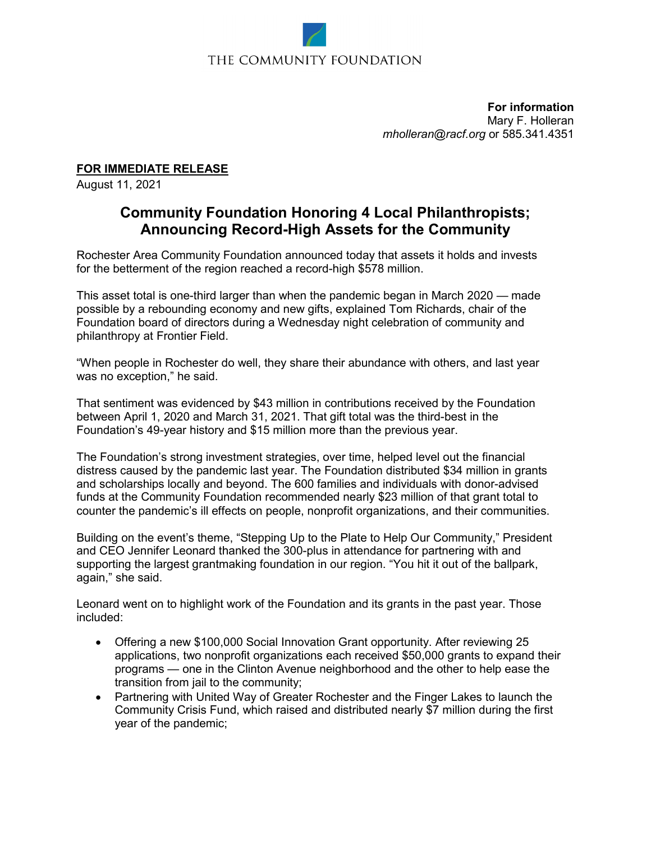## THE COMMUNITY FOUNDATION

**For information** Mary F. Holleran *[mholleran@racf.org](mailto:mholleran@racf.org)* or 585.341.4351

**FOR IMMEDIATE RELEASE**

August 11, 2021

## **Community Foundation Honoring 4 Local Philanthropists; Announcing Record-High Assets for the Community**

Rochester Area Community Foundation announced today that assets it holds and invests for the betterment of the region reached a record-high \$578 million.

This asset total is one-third larger than when the pandemic began in March 2020 — made possible by a rebounding economy and new gifts, explained Tom Richards, chair of the Foundation board of directors during a Wednesday night celebration of community and philanthropy at Frontier Field.

"When people in Rochester do well, they share their abundance with others, and last year was no exception," he said.

That sentiment was evidenced by \$43 million in contributions received by the Foundation between April 1, 2020 and March 31, 2021. That gift total was the third-best in the Foundation's 49-year history and \$15 million more than the previous year.

The Foundation's strong investment strategies, over time, helped level out the financial distress caused by the pandemic last year. The Foundation distributed \$34 million in grants and scholarships locally and beyond. The 600 families and individuals with donor-advised funds at the Community Foundation recommended nearly \$23 million of that grant total to counter the pandemic's ill effects on people, nonprofit organizations, and their communities.

Building on the event's theme, "Stepping Up to the Plate to Help Our Community," President and CEO Jennifer Leonard thanked the 300-plus in attendance for partnering with and supporting the largest grantmaking foundation in our region. "You hit it out of the ballpark, again," she said.

Leonard went on to highlight work of the Foundation and its grants in the past year. Those included:

- Offering a new \$100,000 Social Innovation Grant opportunity. After reviewing 25 applications, two nonprofit organizations each received \$50,000 grants to expand their programs — one in the Clinton Avenue neighborhood and the other to help ease the transition from jail to the community;
- Partnering with United Way of Greater Rochester and the Finger Lakes to launch the Community Crisis Fund, which raised and distributed nearly \$7 million during the first year of the pandemic;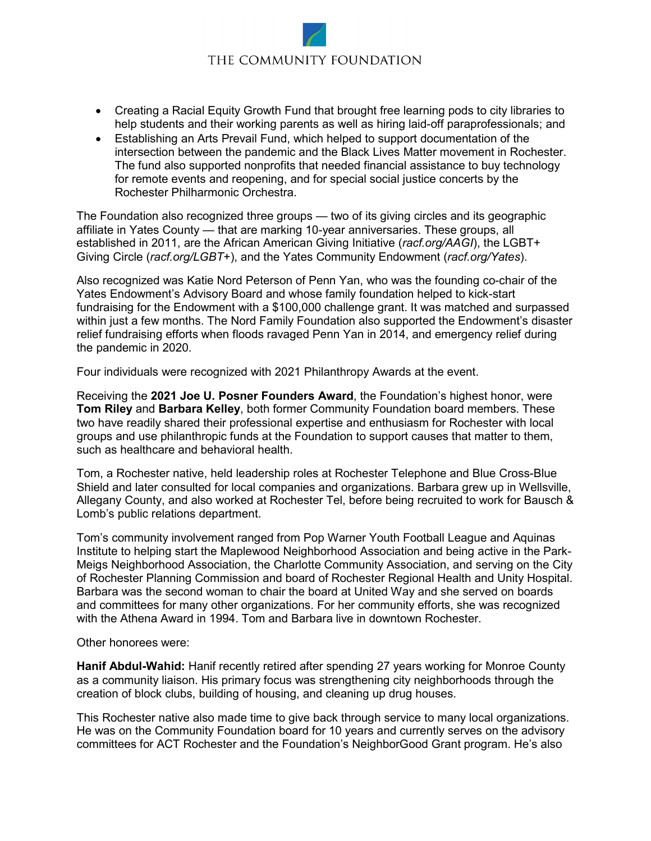## THE COMMUNITY FOUNDATION

- Creating a Racial Equity Growth Fund that brought free learning pods to city libraries to help students and their working parents as well as hiring laid-off paraprofessionals; and
- Establishing an Arts Prevail Fund, which helped to support documentation of the intersection between the pandemic and the Black Lives Matter movement in Rochester. The fund also supported nonprofits that needed financial assistance to buy technology for remote events and reopening, and for special social justice concerts by the Rochester Philharmonic Orchestra.

The Foundation also recognized three groups — two of its giving circles and its geographic affiliate in Yates County — that are marking 10-year anniversaries. These groups, all established in 2011, are the African American Giving Initiative (*racf.org/AAGI*), the LGBT+ Giving Circle (*racf.org/LGBT*+), and the Yates Community Endowment (*racf.org/Yates*).

Also recognized was Katie Nord Peterson of Penn Yan, who was the founding co-chair of the Yates Endowment's Advisory Board and whose family foundation helped to kick-start fundraising for the Endowment with a \$100,000 challenge grant. It was matched and surpassed within just a few months. The Nord Family Foundation also supported the Endowment's disaster relief fundraising efforts when floods ravaged Penn Yan in 2014, and emergency relief during the pandemic in 2020.

Four individuals were recognized with 2021 Philanthropy Awards at the event.

Receiving the **2021 Joe U. Posner Founders Award**, the Foundation's highest honor, were **Tom Riley** and **Barbara Kelley**, both former Community Foundation board members. These two have readily shared their professional expertise and enthusiasm for Rochester with local groups and use philanthropic funds at the Foundation to support causes that matter to them, such as healthcare and behavioral health.

Tom, a Rochester native, held leadership roles at Rochester Telephone and Blue Cross-Blue Shield and later consulted for local companies and organizations. Barbara grew up in Wellsville, Allegany County, and also worked at Rochester Tel, before being recruited to work for Bausch & Lomb's public relations department.

Tom's community involvement ranged from Pop Warner Youth Football League and Aquinas Institute to helping start the Maplewood Neighborhood Association and being active in the Park-Meigs Neighborhood Association, the Charlotte Community Association, and serving on the City of Rochester Planning Commission and board of Rochester Regional Health and Unity Hospital. Barbara was the second woman to chair the board at United Way and she served on boards and committees for many other organizations. For her community efforts, she was recognized with the Athena Award in 1994. Tom and Barbara live in downtown Rochester.

Other honorees were:

**Hanif Abdul-Wahid:** Hanif recently retired after spending 27 years working for Monroe County as a community liaison. His primary focus was strengthening city neighborhoods through the creation of block clubs, building of housing, and cleaning up drug houses.

This Rochester native also made time to give back through service to many local organizations. He was on the Community Foundation board for 10 years and currently serves on the advisory committees for ACT Rochester and the Foundation's NeighborGood Grant program. He's also